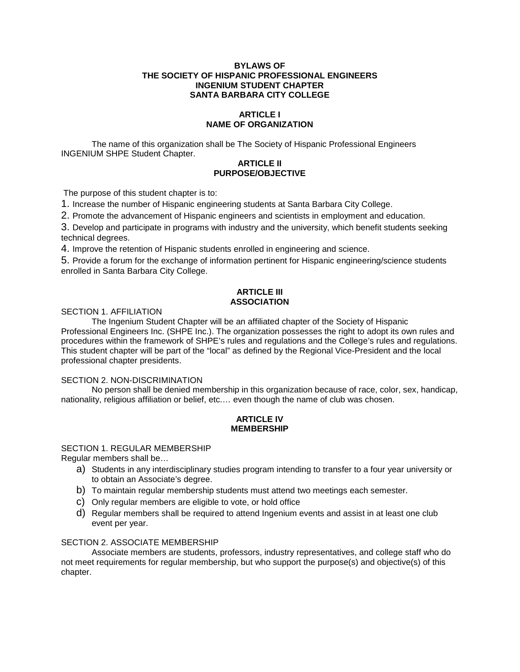### **BYLAWS OF THE SOCIETY OF HISPANIC PROFESSIONAL ENGINEERS INGENIUM STUDENT CHAPTER SANTA BARBARA CITY COLLEGE**

# **ARTICLE I NAME OF ORGANIZATION**

The name of this organization shall be The Society of Hispanic Professional Engineers INGENIUM SHPE Student Chapter.

# **ARTICLE II PURPOSE/OBJECTIVE**

The purpose of this student chapter is to:

1. Increase the number of Hispanic engineering students at Santa Barbara City College.

2. Promote the advancement of Hispanic engineers and scientists in employment and education.

3. Develop and participate in programs with industry and the university, which benefit students seeking technical degrees.

4. Improve the retention of Hispanic students enrolled in engineering and science.

5. Provide a forum for the exchange of information pertinent for Hispanic engineering/science students enrolled in Santa Barbara City College.

### **ARTICLE III ASSOCIATION**

SECTION 1. AFFILIATION

The Ingenium Student Chapter will be an affiliated chapter of the Society of Hispanic Professional Engineers Inc. (SHPE Inc.). The organization possesses the right to adopt its own rules and procedures within the framework of SHPE's rules and regulations and the College's rules and regulations. This student chapter will be part of the "local" as defined by the Regional Vice-President and the local professional chapter presidents.

## SECTION 2. NON-DISCRIMINATION

No person shall be denied membership in this organization because of race, color, sex, handicap, nationality, religious affiliation or belief, etc.… even though the name of club was chosen.

## **ARTICLE IV MEMBERSHIP**

## SECTION 1. REGULAR MEMBERSHIP

Regular members shall be…

- a) Students in any interdisciplinary studies program intending to transfer to a four year university or to obtain an Associate's degree.
- b) To maintain regular membership students must attend two meetings each semester.
- c) Only regular members are eligible to vote, or hold office
- d) Regular members shall be required to attend Ingenium events and assist in at least one club event per year.

## SECTION 2. ASSOCIATE MEMBERSHIP

Associate members are students, professors, industry representatives, and college staff who do not meet requirements for regular membership, but who support the purpose(s) and objective(s) of this chapter.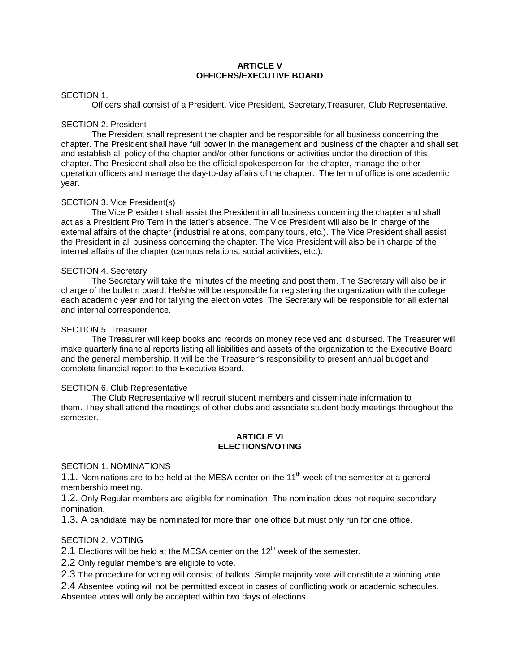## **ARTICLE V OFFICERS/EXECUTIVE BOARD**

## SECTION 1.

Officers shall consist of a President, Vice President, Secretary,Treasurer, Club Representative.

### SECTION 2. President

The President shall represent the chapter and be responsible for all business concerning the chapter. The President shall have full power in the management and business of the chapter and shall set and establish all policy of the chapter and/or other functions or activities under the direction of this chapter. The President shall also be the official spokesperson for the chapter, manage the other operation officers and manage the day-to-day affairs of the chapter. The term of office is one academic year.

### SECTION 3. Vice President(s)

The Vice President shall assist the President in all business concerning the chapter and shall act as a President Pro Tem in the latter's absence. The Vice President will also be in charge of the external affairs of the chapter (industrial relations, company tours, etc.). The Vice President shall assist the President in all business concerning the chapter. The Vice President will also be in charge of the internal affairs of the chapter (campus relations, social activities, etc.).

### SECTION 4. Secretary

The Secretary will take the minutes of the meeting and post them. The Secretary will also be in charge of the bulletin board. He/she will be responsible for registering the organization with the college each academic year and for tallying the election votes. The Secretary will be responsible for all external and internal correspondence.

### SECTION 5. Treasurer

The Treasurer will keep books and records on money received and disbursed. The Treasurer will make quarterly financial reports listing all liabilities and assets of the organization to the Executive Board and the general membership. It will be the Treasurer's responsibility to present annual budget and complete financial report to the Executive Board.

#### SECTION 6. Club Representative

The Club Representative will recruit student members and disseminate information to them. They shall attend the meetings of other clubs and associate student body meetings throughout the semester.

### **ARTICLE VI ELECTIONS/VOTING**

#### SECTION 1. NOMINATIONS

1.1. Nominations are to be held at the MESA center on the  $11<sup>th</sup>$  week of the semester at a general membership meeting.

1.2. Only Regular members are eligible for nomination. The nomination does not require secondary nomination.

1.3. A candidate may be nominated for more than one office but must only run for one office.

## SECTION 2. VOTING

2.1 Elections will be held at the MESA center on the  $12<sup>th</sup>$  week of the semester.

2.2 Only regular members are eligible to vote.

2.3 The procedure for voting will consist of ballots. Simple majority vote will constitute a winning vote.

2.4 Absentee voting will not be permitted except in cases of conflicting work or academic schedules. Absentee votes will only be accepted within two days of elections.